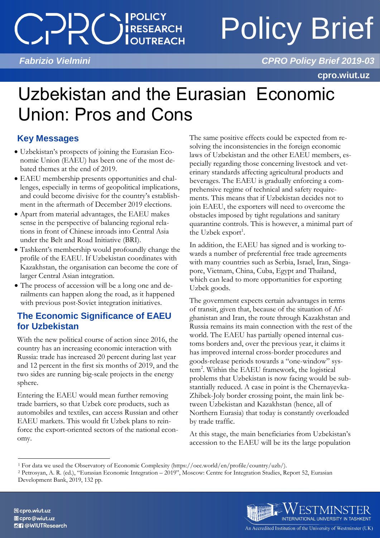## **I POLICY** SINCHOT

# Policy Brief

 *Fabrizio Vielmini CPRO Policy Brief 2019-03*

**cpro.wiut.uz**

## Uzbekistan and the Eurasian Economic Union: Pros and Cons

### **Key Messages**

- Uzbekistan's prospects of joining the Eurasian Economic Union (EAEU) has been one of the most debated themes at the end of 2019.
- EAEU membership presents opportunities and challenges, especially in terms of geopolitical implications, and could become divisive for the country's establishment in the aftermath of December 2019 elections.
- Apart from material advantages, the EAEU makes sense in the perspective of balancing regional relations in front of Chinese inroads into Central Asia under the Belt and Road Initiative (BRI).
- Tashkent's membership would profoundly change the profile of the EAEU. If Uzbekistan coordinates with Kazakhstan, the organisation can become the core of larger Central Asian integration.
- The process of accession will be a long one and derailments can happen along the road, as it happened with previous post-Soviet integration initiatives.

### **The Economic Significance of EAEU for Uzbekistan**

With the new political course of action since 2016, the country has an increasing economic interaction with Russia: trade has increased 20 percent during last year and 12 percent in the first six months of 2019, and the two sides are running big-scale projects in the energy sphere.

Entering the EAEU would mean further removing trade barriers, so that Uzbek core products, such as automobiles and textiles, can access Russian and other EAEU markets. This would fit Uzbek plans to reinforce the export-oriented sectors of the national economy.

The same positive effects could be expected from resolving the inconsistencies in the foreign economic laws of Uzbekistan and the other EAEU members, especially regarding those concerning livestock and veterinary standards affecting agricultural products and beverages. The EAEU is gradually enforcing a comprehensive regime of technical and safety requirements. This means that if Uzbekistan decides not to join EAEU, the exporters will need to overcome the obstacles imposed by tight regulations and sanitary quarantine controls. This is however, a minimal part of the Uzbek export<sup>1</sup>.

In addition, the EAEU has signed and is working towards a number of preferential free trade agreements with many countries such as Serbia, Israel, Iran, Singapore, Vietnam, China, Cuba, Egypt and Thailand, which can lead to more opportunities for exporting Uzbek goods.

The government expects certain advantages in terms of transit, given that, because of the situation of Afghanistan and Iran, the route through Kazakhstan and Russia remains its main connection with the rest of the world. The EAEU has partially opened internal customs borders and, over the previous year, it claims it has improved internal cross-border procedures and goods-release periods towards a "one-window" system<sup>2</sup>. Within the EAEU framework, the logistical problems that Uzbekistan is now facing would be substantially reduced. A case in point is the Chernayevka-Zhibek-Joly border crossing point, the main link between Uzbekistan and Kazakhstan (hence, all of Northern Eurasia) that today is constantly overloaded by trade traffic.

At this stage, the main beneficiaries from Uzbekistan's accession to the EAEU will be its the large population

<sup>2</sup> Petrosyan, A. R. (ed.), "Eurasian Economic Integration – 2019", Moscow: Centre for Integration Studies, Report 52, Eurasian Development Bank, 2019, 132 pp.



 $\overline{a}$ <sup>1</sup> For data we used the Observatory of Economic Complexity (https://oec.world/en/profile/country/uzb/).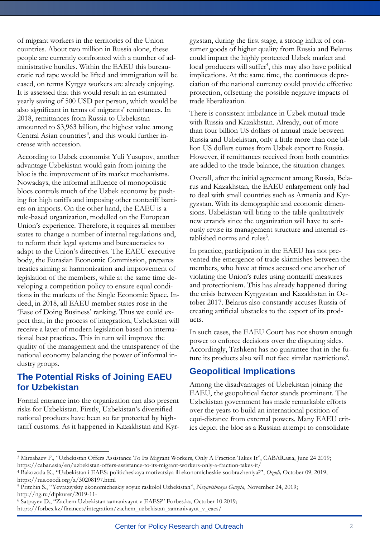of migrant workers in the territories of the Union countries. About two million in Russia alone, these people are currently confronted with a number of administrative hurdles. Within the EAEU this bureaucratic red tape would be lifted and immigration will be eased, on terms Kyrgyz workers are already enjoying. It is assessed that this would result in an estimated yearly saving of 500 USD per person, which would be also significant in terms of migrants' remittances. In 2018, remittances from Russia to Uzbekistan amounted to \$3,963 billion, the highest value among Central Asian countries<sup>3</sup>, and this would further increase with accession.

According to Uzbek economist Yuli Yusupov, another advantage Uzbekistan would gain from joining the bloc is the improvement of its market mechanisms. Nowadays, the informal influence of monopolistic blocs controls much of the Uzbek economy by pushing for high tariffs and imposing other nontariff barriers on imports. On the other hand, the EAEU is a rule-based organization, modelled on the European Union's experience. Therefore, it requires all member states to change a number of internal regulations and, to reform their legal systems and bureaucracies to adapt to the Union's directives. The EAEU executive body, the Eurasian Economic Commission, prepares treaties aiming at harmonization and improvement of legislation of the members, while at the same time developing a competition policy to ensure equal conditions in the markets of the Single Economic Space. Indeed, in 2018, all EAEU member states rose in the 'Ease of Doing Business' ranking. Thus we could expect that, in the process of integration, Uzbekistan will receive a layer of modern legislation based on international best practices. This in turn will improve the quality of the management and the transparency of the national economy balancing the power of informal industry groups.

#### **The Potential Risks of Joining EAEU for Uzbekistan**

Formal entrance into the organization can also present risks for Uzbekistan. Firstly, Uzbekistan's diversified national products have been so far protected by hightariff customs. As it happened in Kazakhstan and Kyr-

 $\overline{a}$ 

gyzstan, during the first stage, a strong influx of consumer goods of higher quality from Russia and Belarus could impact the highly protected Uzbek market and local producers will suffer<sup>4</sup>, this may also have political implications. At the same time, the continuous depreciation of the national currency could provide effective protection, offsetting the possible negative impacts of trade liberalization.

There is consistent imbalance in Uzbek mutual trade with Russia and Kazakhstan. Already, out of more than four billion US dollars of annual trade between Russia and Uzbekistan, only a little more than one billion US dollars comes from Uzbek export to Russia. However, if remittances received from both countries are added to the trade balance, the situation changes.

Overall, after the initial agreement among Russia, Belarus and Kazakhstan, the EAEU enlargement only had to deal with small countries such as Armenia and Kyrgyzstan. With its demographic and economic dimensions. Uzbekistan will bring to the table qualitatively new errands since the organization will have to seriously revise its management structure and internal established norms and rules<sup>5</sup>.

In practice, participation in the EAEU has not prevented the emergence of trade skirmishes between the members, who have at times accused one another of violating the Union's rules using nontariff measures and protectionism. This has already happened during the crisis between Kyrgyzstan and Kazakhstan in October 2017. Belarus also constantly accuses Russia of creating artificial obstacles to the export of its products.

In such cases, the EAEU Court has not shown enough power to enforce decisions over the disputing sides. Accordingly, Tashkent has no guarantee that in the future its products also will not face similar restrictions<sup>6</sup>.

#### **Geopolitical Implications**

Among the disadvantages of Uzbekistan joining the EAEU, the geopolitical factor stands prominent. The Uzbekistan government has made remarkable efforts over the years to build an international position of equi-distance from external powers. Many EAEU critics depict the bloc as a Russian attempt to consolidate

<sup>3</sup> Mirzabaev F., "Uzbekistan Offers Assistance To Its Migrant Workers, Only A Fraction Takes It", CABAR.asia, June 24 2019; https://cabar.asia/en/uzbekistan-offers-assistance-to-its-migrant-workers-only-a-fraction-takes-it/

<sup>4</sup> Bakozoda K., "Uzbekistan i EAES: politicheskaya motivatsiya ili ekonomicheskie soobrazheniya?", *Ozodi,* October 09, 2019; https://rus.ozodi.org/a/30208197.html

<sup>5</sup> Pritchin S., "Yevraziyskiy ekonomicheskiy soyuz raskolol Uzbekistan", *Nezavisimaya Gazeta,* November 24, 2019; http://ng.ru/dipkurer/2019-11-

<sup>6</sup> Satpayev D., "Zachem Uzbekistan zamanivayut v EAES?" Forbes.kz, October 10 2019; https://forbes.kz/finances/integration/zachem\_uzbekistan\_zamanivayut\_v\_eaes/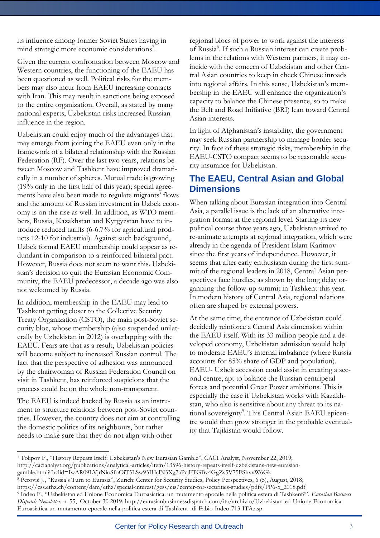its influence among former Soviet States having in mind strategic more economic considerations<sup>7</sup>.

Given the current confrontation between Moscow and Western countries, the functioning of the EAEU has been questioned as well. Political risks for the members may also incur from EAEU increasing contacts with Iran. This may result in sanctions being exposed to the entire organization. Overall, as stated by many national experts, Uzbekistan risks increased Russian influence in the region.

Uzbekistan could enjoy much of the advantages that may emerge from joining the EAEU even only in the framework of a bilateral relationship with the Russian Federation (RF). Over the last two years, relations between Moscow and Tashkent have improved dramatically in a number of spheres. Mutual trade is growing (19% only in the first half of this year); special agreements have also been made to regulate migrants' flows and the amount of Russian investment in Uzbek economy is on the rise as well. In addition, as WTO members, Russia, Kazakhstan and Kyrgyzstan have to introduce reduced tariffs (6-6.7% for agricultural products 12-10 for industrial). Against such background, Uzbek formal EAEU membership could appear as redundant in comparison to a reinforced bilateral pact. However, Russia does not seem to want this. Uzbekistan's decision to quit the Eurasian Economic Community, the EAEU predecessor, a decade ago was also not welcomed by Russia.

In addition, membership in the EAEU may lead to Tashkent getting closer to the Collective Security Treaty Organization (CSTO), the main post-Soviet security bloc, whose membership (also suspended unilaterally by Uzbekistan in 2012) is overlapping with the EAEU. Fears are that as a result, Uzbekistan policies will become subject to increased Russian control. The fact that the perspective of adhesion was announced by the chairwoman of Russian Federation Council on visit in Tashkent, has reinforced suspicions that the process could be on the whole non-transparent.

The EAEU is indeed backed by Russia as an instrument to structure relations between post-Soviet countries. However, the country does not aim at controlling the domestic politics of its neighbours, but rather needs to make sure that they do not align with other

 $\overline{a}$ 

regional blocs of power to work against the interests of Russia<sup>8</sup>. If such a Russian interest can create problems in the relations with Western partners, it may coincide with the concern of Uzbekistan and other Central Asian countries to keep in check Chinese inroads into regional affairs. In this sense, Uzbekistan's membership in the EAEU will enhance the organization's capacity to balance the Chinese presence, so to make the Belt and Road Initiative (BRI) lean toward Central Asian interests.

In light of Afghanistan's instability, the government may seek Russian partnership to manage border security. In face of these strategic risks, membership in the EAEU-CSTO compact seems to be reasonable security insurance for Uzbekistan.

#### **The EAEU, Central Asian and Global Dimensions**

When talking about Eurasian integration into Central Asia, a parallel issue is the lack of an alternative integration format at the regional level. Starting its new political course three years ago, Uzbekistan strived to re-animate attempts at regional integration, which were already in the agenda of President Islam Karimov since the first years of independence. However, it seems that after early enthusiasm during the first summit of the regional leaders in 2018, Central Asian perspectives face hurdles, as shown by the long delay organizing the follow-up summit in Tashkent this year. In modern history of Central Asia, regional relations often are shaped by external powers.

At the same time, the entrance of Uzbekistan could decidedly reinforce a Central Asia dimension within the EAEU itself. With its 33 million people and a developed economy, Uzbekistan admission would help to moderate EAEU's internal imbalance (where Russia accounts for 85% share of GDP and population). EAEU- Uzbek accession could assist in creating a second centre, apt to balance the Russian centripetal forces and potential Great Power ambitions. This is especially the case if Uzbekistan works with Kazakhstan, who also is sensitive about any threat to its national sovereignty<sup>9</sup>. This Central Asian EAEU epicentre would then grow stronger in the probable eventuality that Tajikistan would follow.

<sup>7</sup> Tolipov F., "History Repeats Itself: Uzbekistan's New Eurasian Gamble", CACI Analyst, November 22, 2019; http://cacianalyst.org/publications/analytical-articles/item/13596-history-repeats-itself-uzbekistans-new-eurasian-

gamble.html?fbclid=IwAR09LVjrNioSfoOiT5LSw93IHclN3Xg7aPcjFTGBv4GgZs5V75FShvvW6Gk

 $8$  Perović J., "Russia's Turn to Eurasia", Zurich: Center for Security Studies, Policy Perspectives, 6 (5), August, 2018;

https://css.ethz.ch/content/dam/ethz/special-interest/gess/cis/center-for-securities-studies/pdfs/PP6-5\_2018.pdf <sup>9</sup> Indeo F., "Uzbekistan ed Unione Economica Euroasiatica: un mutamento epocale nella politica estera di Tashkent?". *Eurasian Business* 

*Dispatch Newsletter,* n. 55, October 30 2019; http://eurasianbusinnessdispatch.com/ita/archivio/Uzbekistan-ed-Unione-Economica-Euroasiatica-un-mutamento-epocale-nella-politica-estera-di-Tashkent--di-Fabio-Indeo-713-ITA.asp